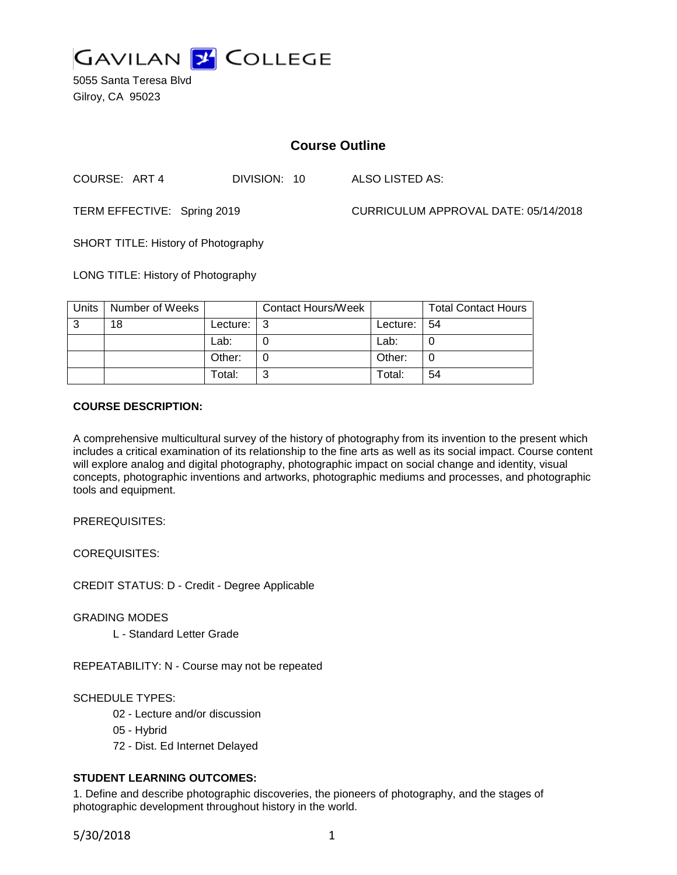

5055 Santa Teresa Blvd Gilroy, CA 95023

# **Course Outline**

COURSE: ART 4 DIVISION: 10 ALSO LISTED AS:

TERM EFFECTIVE: Spring 2019 CURRICULUM APPROVAL DATE: 05/14/2018

SHORT TITLE: History of Photography

LONG TITLE: History of Photography

| Units | Number of Weeks |          | <b>Contact Hours/Week</b> |          | <b>Total Contact Hours</b> |
|-------|-----------------|----------|---------------------------|----------|----------------------------|
| 3     | 18              | Lecture: |                           | Lecture: | -54                        |
|       |                 | Lab:     |                           | Lab:     |                            |
|       |                 | Other:   |                           | Other:   |                            |
|       |                 | Total:   |                           | Total:   | 54                         |

## **COURSE DESCRIPTION:**

A comprehensive multicultural survey of the history of photography from its invention to the present which includes a critical examination of its relationship to the fine arts as well as its social impact. Course content will explore analog and digital photography, photographic impact on social change and identity, visual concepts, photographic inventions and artworks, photographic mediums and processes, and photographic tools and equipment.

PREREQUISITES:

COREQUISITES:

CREDIT STATUS: D - Credit - Degree Applicable

GRADING MODES

L - Standard Letter Grade

REPEATABILITY: N - Course may not be repeated

SCHEDULE TYPES:

- 02 Lecture and/or discussion
- 05 Hybrid
- 72 Dist. Ed Internet Delayed

## **STUDENT LEARNING OUTCOMES:**

1. Define and describe photographic discoveries, the pioneers of photography, and the stages of photographic development throughout history in the world.

5/30/2018 1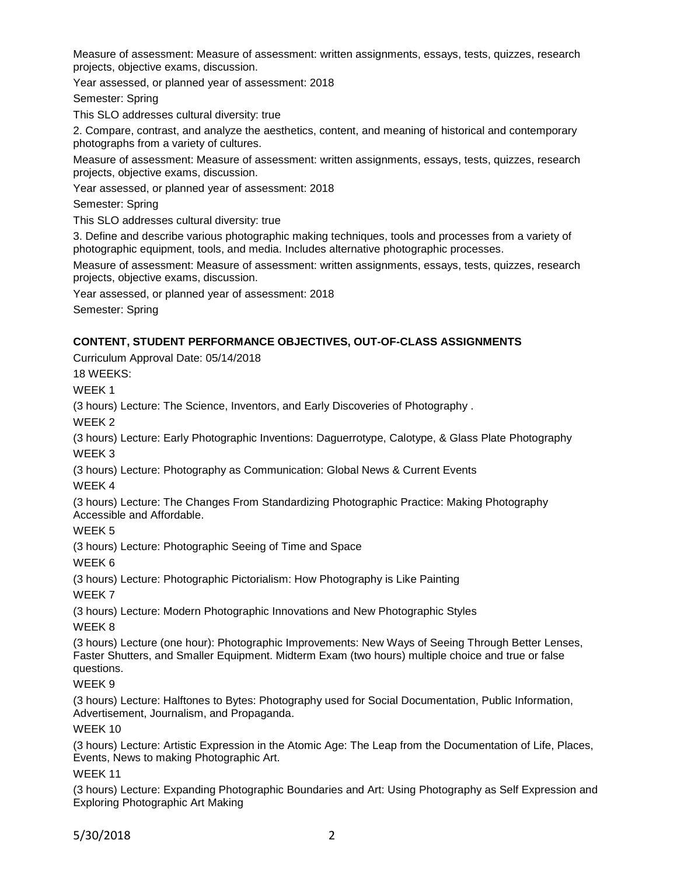Measure of assessment: Measure of assessment: written assignments, essays, tests, quizzes, research projects, objective exams, discussion.

Year assessed, or planned year of assessment: 2018

Semester: Spring

This SLO addresses cultural diversity: true

2. Compare, contrast, and analyze the aesthetics, content, and meaning of historical and contemporary photographs from a variety of cultures.

Measure of assessment: Measure of assessment: written assignments, essays, tests, quizzes, research projects, objective exams, discussion.

Year assessed, or planned year of assessment: 2018

Semester: Spring

This SLO addresses cultural diversity: true

3. Define and describe various photographic making techniques, tools and processes from a variety of photographic equipment, tools, and media. Includes alternative photographic processes.

Measure of assessment: Measure of assessment: written assignments, essays, tests, quizzes, research projects, objective exams, discussion.

Year assessed, or planned year of assessment: 2018

Semester: Spring

## **CONTENT, STUDENT PERFORMANCE OBJECTIVES, OUT-OF-CLASS ASSIGNMENTS**

Curriculum Approval Date: 05/14/2018

18 WEEKS:

WEEK 1

(3 hours) Lecture: The Science, Inventors, and Early Discoveries of Photography .

WEEK 2

(3 hours) Lecture: Early Photographic Inventions: Daguerrotype, Calotype, & Glass Plate Photography WEEK 3

(3 hours) Lecture: Photography as Communication: Global News & Current Events

WEEK 4

(3 hours) Lecture: The Changes From Standardizing Photographic Practice: Making Photography Accessible and Affordable.

## WEEK 5

(3 hours) Lecture: Photographic Seeing of Time and Space

WEEK 6

(3 hours) Lecture: Photographic Pictorialism: How Photography is Like Painting

WEEK 7

(3 hours) Lecture: Modern Photographic Innovations and New Photographic Styles

WEEK 8

(3 hours) Lecture (one hour): Photographic Improvements: New Ways of Seeing Through Better Lenses, Faster Shutters, and Smaller Equipment. Midterm Exam (two hours) multiple choice and true or false questions.

## WEEK 9

(3 hours) Lecture: Halftones to Bytes: Photography used for Social Documentation, Public Information, Advertisement, Journalism, and Propaganda.

WEEK 10

(3 hours) Lecture: Artistic Expression in the Atomic Age: The Leap from the Documentation of Life, Places, Events, News to making Photographic Art.

## WEEK 11

(3 hours) Lecture: Expanding Photographic Boundaries and Art: Using Photography as Self Expression and Exploring Photographic Art Making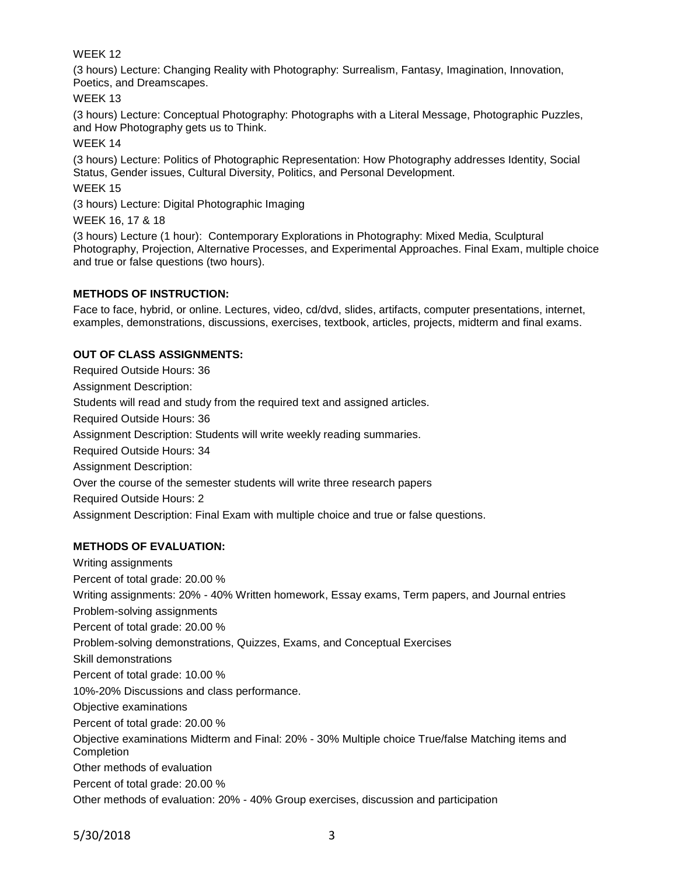## WEEK 12

(3 hours) Lecture: Changing Reality with Photography: Surrealism, Fantasy, Imagination, Innovation, Poetics, and Dreamscapes.

WEEK 13

(3 hours) Lecture: Conceptual Photography: Photographs with a Literal Message, Photographic Puzzles, and How Photography gets us to Think.

WEEK 14

(3 hours) Lecture: Politics of Photographic Representation: How Photography addresses Identity, Social Status, Gender issues, Cultural Diversity, Politics, and Personal Development.

WEEK 15

(3 hours) Lecture: Digital Photographic Imaging

WEEK 16, 17 & 18

(3 hours) Lecture (1 hour): Contemporary Explorations in Photography: Mixed Media, Sculptural Photography, Projection, Alternative Processes, and Experimental Approaches. Final Exam, multiple choice and true or false questions (two hours).

## **METHODS OF INSTRUCTION:**

Face to face, hybrid, or online. Lectures, video, cd/dvd, slides, artifacts, computer presentations, internet, examples, demonstrations, discussions, exercises, textbook, articles, projects, midterm and final exams.

## **OUT OF CLASS ASSIGNMENTS:**

Required Outside Hours: 36 Assignment Description: Students will read and study from the required text and assigned articles. Required Outside Hours: 36 Assignment Description: Students will write weekly reading summaries. Required Outside Hours: 34 Assignment Description: Over the course of the semester students will write three research papers Required Outside Hours: 2 Assignment Description: Final Exam with multiple choice and true or false questions.

## **METHODS OF EVALUATION:**

Writing assignments Percent of total grade: 20.00 % Writing assignments: 20% - 40% Written homework, Essay exams, Term papers, and Journal entries Problem-solving assignments Percent of total grade: 20.00 % Problem-solving demonstrations, Quizzes, Exams, and Conceptual Exercises Skill demonstrations Percent of total grade: 10.00 % 10%-20% Discussions and class performance. Objective examinations Percent of total grade: 20.00 % Objective examinations Midterm and Final: 20% - 30% Multiple choice True/false Matching items and Completion Other methods of evaluation Percent of total grade: 20.00 % Other methods of evaluation: 20% - 40% Group exercises, discussion and participation

5/30/2018 3